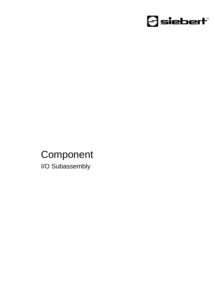

### Component I/O Subassembly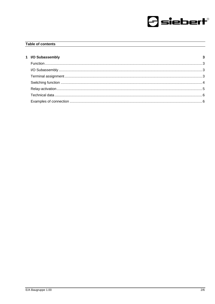

#### Table of contents

| 1 I/O Subassembly |  |
|-------------------|--|
|                   |  |
|                   |  |
|                   |  |
|                   |  |
|                   |  |
|                   |  |
|                   |  |
|                   |  |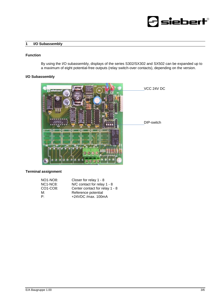## $\mathcal{\exists}$  siebert $^{\circ}$

#### <span id="page-2-0"></span>**1 I/O Subassembly**

#### <span id="page-2-1"></span>**Function**

By using the I/O subassembly, displays of the series S302/SX302 and SX502 can be expanded up to a maximum of eight potential-free outputs (relay switch-over contacts), depending on the version.

#### <span id="page-2-2"></span>**I/O Subassembly**



#### <span id="page-2-3"></span>**Terminal assignment**

<span id="page-2-4"></span>

| NO1-NO8:                           | Closer for relay 1 - 8         |
|------------------------------------|--------------------------------|
| NC <sub>1</sub> -N <sub>C</sub> 8: | N/C contact for relay 1 - 8    |
| CO1-CO8:                           | Center contact for relay 1 - 8 |
| M:                                 | Reference potential            |
| P∸                                 | +24VDC /max. 100mA             |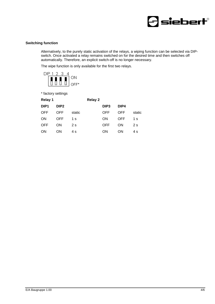

#### **Switching function**

Alternatively, to the purely static activation of the relays, a wiping function can be selected via DIPswitch. Once activated a relay remains switched on for the desired time and then switches off automatically. Therefore, an explicit switch-off is no longer necessary.

The wipe function is only available for the first two relays.



\* factory settings

<span id="page-3-0"></span>

| Relay 1          |                  |        | <b>Relay 2</b> |                  |           |        |
|------------------|------------------|--------|----------------|------------------|-----------|--------|
| DIP <sub>1</sub> | DIP <sub>2</sub> |        |                | DIP <sub>3</sub> | DIP4      |        |
| OFF              | <b>OFF</b>       | static |                | OFF              | OFF       | static |
| ON               | OFF              | 1 s    |                | ON               | OFF       | 1 s    |
| <b>OFF</b>       | ON               | 2s     |                | OFF              | <b>ON</b> | 2s     |
| ON               | ON               | 4 s    |                | ON               | ON        | 4 s    |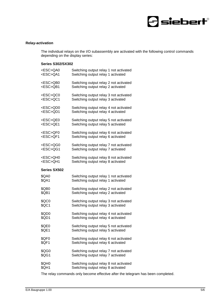

#### **Relay-activation**

The individual relays on the I/O subassembly are activated with the following control commands depending on the display series:

#### **Series S302/SX302**

| <esc>QA0</esc>      | Switching output relay 1 not activated |
|---------------------|----------------------------------------|
| <esc>QA1</esc>      | Switching output relay 1 activated     |
| <esc>QB0</esc>      | Switching output relay 2 not activated |
| <esc>QB1</esc>      | Switching output relay 2 activated     |
| <esc>QC0</esc>      | Switching output relay 3 not activated |
| <esc>QC1</esc>      | Switching output relay 3 activated     |
| <esc>QD0</esc>      | Switching output relay 4 not activated |
| <esc>QD1</esc>      | Switching output relay 4 activated     |
| <esc>QE0</esc>      | Switching output relay 5 not activated |
| <esc>QE1</esc>      | Switching output relay 5 activated     |
| <esc>QF0</esc>      | Switching output relay 6 not activated |
| <esc>QF1</esc>      | Switching output relay 6 activated     |
| <esc>QG0</esc>      | Switching output relay 7 not activated |
| <esc>QG1</esc>      | Switching output relay 7 activated     |
| <esc>QH0</esc>      | Switching output relay 8 not activated |
| <esc>QH1</esc>      | Switching output relay 8 activated     |
| <b>Series SX502</b> |                                        |
| \$QA0               | Switching output relay 1 not activated |
| \$QA1               | Switching output relay 1 activated     |
| \$QB0               | Switching output relay 2 not activated |
| \$QB1               | Switching output relay 2 activated     |
| \$QC0               | Switching output relay 3 not activated |
| \$QC1               | Switching output relay 3 activated     |
| \$QD0               | Switching output relay 4 not activated |
| \$QD1               | Switching output relay 4 activated     |
| \$QE0               | Switching output relay 5 not activated |
| \$QE1               | Switching output relay 5 activated     |
| \$QF0               | Switching output relay 6 not activated |
| \$QF1               | Switching output relay 6 activated     |
| \$QG0               | Switching output relay 7 not activated |
| \$QG1               | Switching output relay 7 activated     |
| \$QH0               | Switching output relay 8 not activated |
| \$QH1               | Switching output relay 8 activated     |

The relay commands only become effective after the telegram has been completed.